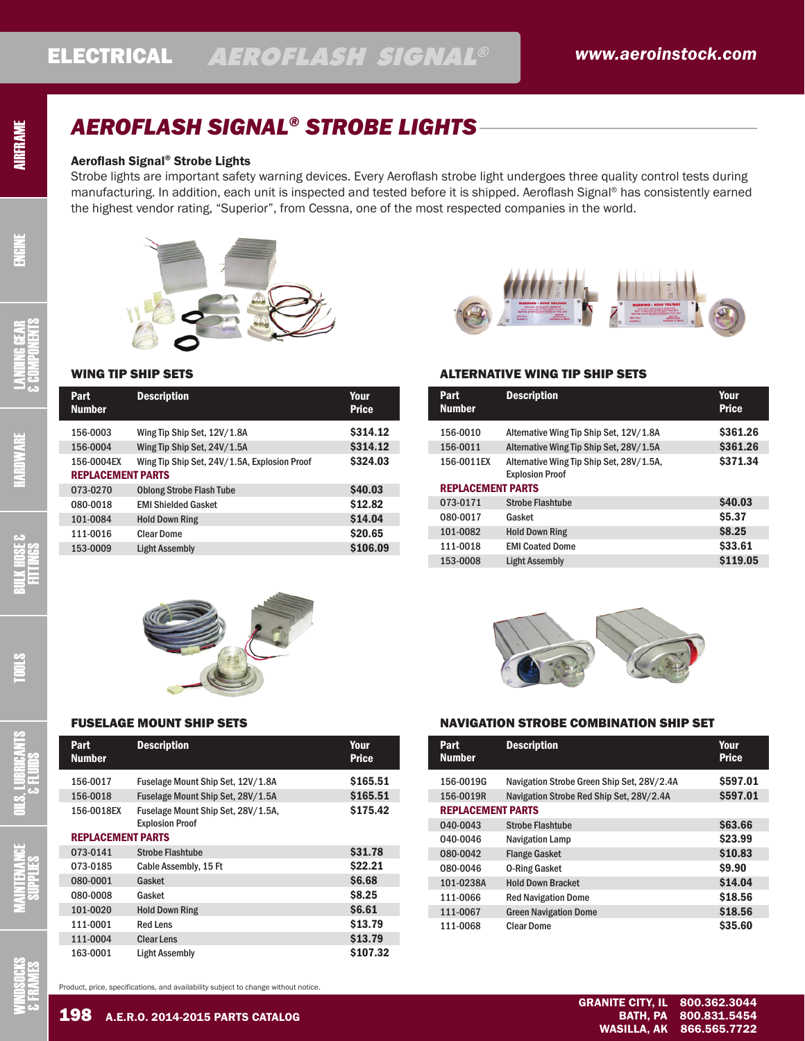# *AEROFLASH SIGNAL® STROBE LIGHTS*

### Aeroflash Signal® Strobe Lights

AIRFRAME

ENGINE

HARDWARE LANDING GEAR

BULK HOSE & FITTINGS

& COMPONENTS

Strobe lights are important safety warning devices. Every Aeroflash strobe light undergoes three quality control tests during manufacturing. In addition, each unit is inspected and tested before it is shipped. Aeroflash Signal® has consistently earned the highest vendor rating, "Superior", from Cessna, one of the most respected companies in the world.



### WING TIP SHIP SETS

| Part<br><b>Number</b> | <b>Description</b>                           | Your<br><b>Price</b> |  |  |
|-----------------------|----------------------------------------------|----------------------|--|--|
| 156-0003              | Wing Tip Ship Set, 12V/1.8A                  | \$314.12             |  |  |
| 156-0004              | Wing Tip Ship Set, 24V/1.5A                  | \$314.12             |  |  |
| 156-0004EX            | Wing Tip Ship Set, 24V/1.5A, Explosion Proof | \$324.03             |  |  |
|                       | <b>REPLACEMENT PARTS</b>                     |                      |  |  |
| 073-0270              | <b>Oblong Strobe Flash Tube</b>              | <b>\$40.03</b>       |  |  |
| 080-0018              | <b>FMI Shielded Gasket</b>                   | \$12.82              |  |  |
| 101-0084              | <b>Hold Down Ring</b>                        | \$14.04              |  |  |
| 111-0016              | <b>Clear Dome</b>                            | \$20.65              |  |  |
| 153-0009              | <b>Light Assembly</b>                        | \$106.09             |  |  |



| Part<br><b>Number</b>    | <b>Description</b>                                           | Your<br><b>Price</b> |
|--------------------------|--------------------------------------------------------------|----------------------|
| 156-0017                 | Fuselage Mount Ship Set, 12V/1.8A                            | \$165.51             |
| 156-0018                 | Fuselage Mount Ship Set, 28V/1.5A                            | \$165.51             |
| 156-0018EX               | Fuselage Mount Ship Set, 28V/1.5A,<br><b>Explosion Proof</b> | \$175.42             |
| <b>REPLACEMENT PARTS</b> |                                                              |                      |
| 073-0141                 | <b>Strobe Flashtube</b>                                      | \$31.78              |
| 073-0185                 | Cable Assembly, 15 Ft                                        | \$22.21              |
| 080-0001                 | Gasket                                                       | <b>S6.68</b>         |
| 080-0008                 | Gasket                                                       | <b>\$8.25</b>        |
| 101-0020                 | <b>Hold Down Ring</b>                                        | <b>S6.61</b>         |
| 111-0001                 | <b>Red Lens</b>                                              | \$13.79              |
| 111-0004                 | <b>Clear Lens</b>                                            | \$13.79              |
| 163-0001                 | <b>Light Assembly</b>                                        | \$107.32             |



### ALTERNATIVE WING TIP SHIP SETS

| Part<br><b>Number</b>    | <b>Description</b>                                                 | Your<br><b>Price</b> |
|--------------------------|--------------------------------------------------------------------|----------------------|
| 156-0010                 | Alternative Wing Tip Ship Set, 12V/1.8A                            | \$361.26             |
| 156-0011                 | Alternative Wing Tip Ship Set, 28V/1.5A                            | \$361.26             |
| 156-0011EX               | Alternative Wing Tip Ship Set, 28V/1.5A,<br><b>Explosion Proof</b> | \$371.34             |
| <b>REPLACEMENT PARTS</b> |                                                                    |                      |
| 073-0171                 | <b>Strobe Flashtube</b>                                            | <b>S40.03</b>        |
| 080-0017                 | Gasket                                                             | <b>S5.37</b>         |
| 101-0082                 | <b>Hold Down Ring</b>                                              | <b>S8.25</b>         |
| 111-0018                 | <b>FMI Coated Dome</b>                                             | \$33.61              |
| 153-0008                 | <b>Light Assembly</b>                                              | \$119.05             |



### FUSELAGE MOUNT SHIP SETS NAVIGATION STROBE COMBINATION SHIP SET

| Part<br><b>Number</b>    | <b>Description</b>                         | Your<br><b>Price</b> |
|--------------------------|--------------------------------------------|----------------------|
| 156-0019G                | Navigation Strobe Green Ship Set, 28V/2.4A | \$597.01             |
| 156-0019R                | Navigation Strobe Red Ship Set, 28V/2.4A   | \$597.01             |
| <b>REPLACEMENT PARTS</b> |                                            |                      |
| 040-0043                 | Strobe Flashtube                           | <b>S63.66</b>        |
| 040-0046                 | <b>Navigation Lamp</b>                     | \$23.99              |
| 080-0042                 | <b>Flange Gasket</b>                       | \$10.83              |
| 080-0046                 | <b>0-Ring Gasket</b>                       | \$9.90               |
| 101-0238A                | <b>Hold Down Bracket</b>                   | \$14.04              |
| 111-0066                 | <b>Red Navigation Dome</b>                 | \$18.56              |
| 111-0067                 | <b>Green Navigation Dome</b>               | \$18.56              |
| 111-0068                 | Clear Dome                                 | \$35.60              |

SUPPLIES

OILS, LUBRICANTS & FLUIDS

TOOLS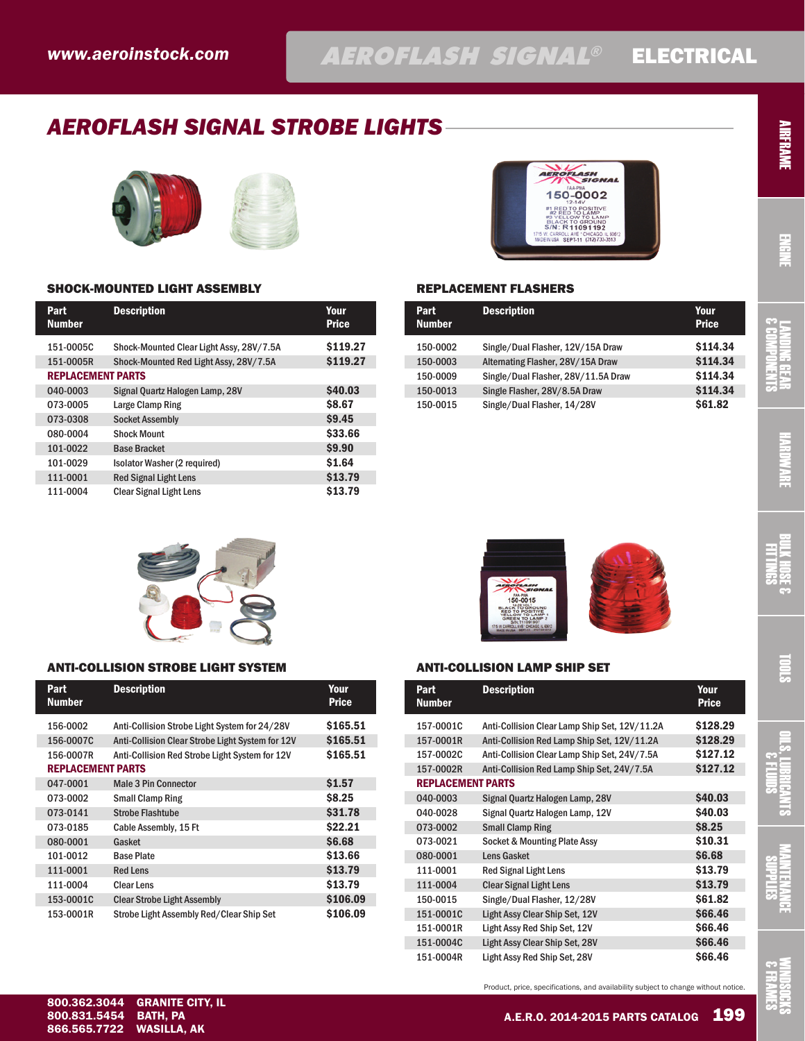# *AEROFLASH SIGNAL STROBE LIGHTS*





# AEROFLASH 150-0002 12-14V<br>
#1 RED TO LAMP<br>
#2 RED TO LAMP<br>
#3 YELLOW TO LAMP<br>
BLACK TO GROUND<br>
S/N: R 11091192 CARROLL AVE \* CHICAGO, IL 60<br>IUSA SEPT-11 (312) 733-351

### SHOCK-MOUNTED LIGHT ASSEMBLY **REPLACEMENT FLASHERS**

| Part<br><b>Number</b>    | <b>Description</b>                       | Your<br><b>Price</b> |
|--------------------------|------------------------------------------|----------------------|
| 151-0005C                | Shock-Mounted Clear Light Assy, 28V/7.5A | \$119.27             |
| 151-0005R                | Shock-Mounted Red Light Assy, 28V/7.5A   | \$119.27             |
| <b>REPLACEMENT PARTS</b> |                                          |                      |
| 040-0003                 | Signal Quartz Halogen Lamp, 28V          | <b>\$40.03</b>       |
| 073-0005                 | Large Clamp Ring                         | <b>S8.67</b>         |
| 073-0308                 | <b>Socket Assembly</b>                   | <b>\$9.45</b>        |
| 080-0004                 | <b>Shock Mount</b>                       | \$33.66              |
| 101-0022                 | <b>Base Bracket</b>                      | \$9.90               |
| 101-0029                 | Isolator Washer (2 required)             | \$1.64               |
| 111-0001                 | <b>Red Signal Light Lens</b>             | \$13.79              |
| 111-0004                 | <b>Clear Signal Light Lens</b>           | \$13.79              |

| Part<br><b>Number</b> | <b>Description</b>                  | Your<br><b>Price</b> |
|-----------------------|-------------------------------------|----------------------|
| 150-0002              | Single/Dual Flasher, 12V/15A Draw   | \$114.34             |
| 150-0003              | Alternating Flasher, 28V/15A Draw   | \$114.34             |
| 150-0009              | Single/Dual Flasher, 28V/11.5A Draw | \$114.34             |
| 150-0013              | Single Flasher, 28V/8.5A Draw       | \$114.34             |
| 150-0015              | Single/Dual Flasher, 14/28V         | \$61.82              |



### ANTI-COLLISION STROBE LIGHT SYSTEM

| Part<br><b>Number</b>    | <b>Description</b>                               | Your<br><b>Price</b> |
|--------------------------|--------------------------------------------------|----------------------|
| 156-0002                 | Anti-Collision Strobe Light System for 24/28V    | \$165.51             |
| 156-0007C                | Anti-Collision Clear Strobe Light System for 12V | \$165.51             |
| 156-0007R                | Anti-Collision Red Strobe Light System for 12V   | \$165.51             |
| <b>REPLACEMENT PARTS</b> |                                                  |                      |
| 047-0001                 | <b>Male 3 Pin Connector</b>                      | \$1.57               |
| 073-0002                 | <b>Small Clamp Ring</b>                          | <b>S8.25</b>         |
| 073-0141                 | <b>Strobe Flashtube</b>                          | \$31.78              |
| 073-0185                 | Cable Assembly, 15 Ft                            | \$22.21              |
| 080-0001                 | Gasket                                           | <b>S6.68</b>         |
| 101-0012                 | <b>Base Plate</b>                                | \$13.66              |
| 111-0001                 | <b>Red Lens</b>                                  | \$13.79              |
| 111-0004                 | <b>Clear Lens</b>                                | \$13.79              |
| 153-0001C                | <b>Clear Strobe Light Assembly</b>               | \$106.09             |
| 153-0001R                | Strobe Light Assembly Red/Clear Ship Set         | \$106.09             |

# ANTI-COLLISION LAMP SHIP SET

FLASH  $150 - 0015$ 

| Part<br><b>Number</b>    | <b>Description</b>                            | Your<br><b>Price</b> |
|--------------------------|-----------------------------------------------|----------------------|
| 157-0001C                | Anti-Collision Clear Lamp Ship Set, 12V/11.2A | \$128.29             |
| 157-0001R                | Anti-Collision Red Lamp Ship Set, 12V/11.2A   | \$128.29             |
| 157-0002C                | Anti-Collision Clear Lamp Ship Set, 24V/7.5A  | \$127.12             |
| 157-0002R                | Anti-Collision Red Lamp Ship Set, 24V/7.5A    | \$127.12             |
| <b>REPLACEMENT PARTS</b> |                                               |                      |
| 040-0003                 | Signal Quartz Halogen Lamp, 28V               | <b>\$40.03</b>       |
| 040-0028                 | Signal Quartz Halogen Lamp, 12V               | \$40.03              |
| 073-0002                 | <b>Small Clamp Ring</b>                       | <b>\$8.25</b>        |
| 073-0021                 | Socket & Mounting Plate Assy                  | \$10.31              |
| 080-0001                 | <b>Lens Gasket</b>                            | <b>S6.68</b>         |
| 111-0001                 | <b>Red Signal Light Lens</b>                  | \$13.79              |
| 111-0004                 | <b>Clear Signal Light Lens</b>                | \$13.79              |
| 150-0015                 | Single/Dual Flasher, 12/28V                   | \$61.82              |
| 151-0001C                | Light Assy Clear Ship Set, 12V                | \$66.46              |
| 151-0001R                | Light Assy Red Ship Set, 12V                  | <b>S66.46</b>        |
| 151-0004C                | Light Assy Clear Ship Set, 28V                | \$66.46              |
| 151-0004R                | Light Assy Red Ship Set, 28V                  | <b>S66.46</b>        |

Product, price, specifications, and availability subject to change without notice.

WINDSOCKS & FRAMES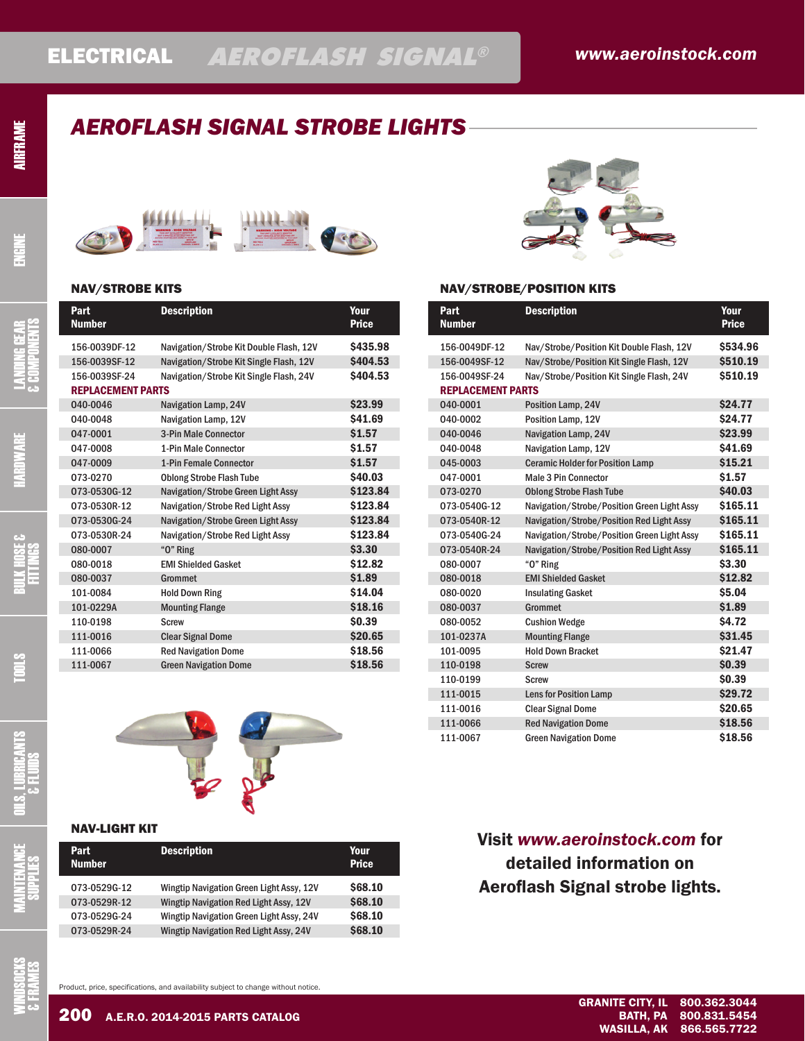# AIRFRAME

# *AEROFLASH SIGNAL STROBE LIGHTS*



## NAV/STROBE KITS

| Part<br><b>Number</b>    | <b>Description</b>                      | Your<br><b>Price</b> |
|--------------------------|-----------------------------------------|----------------------|
| 156-0039DF-12            | Navigation/Strobe Kit Double Flash, 12V | \$435.98             |
| 156-0039SF-12            | Navigation/Strobe Kit Single Flash, 12V | \$404.53             |
| 156-0039SF-24            | Navigation/Strobe Kit Single Flash, 24V | \$404.53             |
| <b>REPLACEMENT PARTS</b> |                                         |                      |
| 040-0046                 | Navigation Lamp, 24V                    | \$23.99              |
| 040-0048                 | Navigation Lamp, 12V                    | \$41.69              |
| 047-0001                 | 3-Pin Male Connector                    | \$1.57               |
| 047-0008                 | 1-Pin Male Connector                    | \$1.57               |
| 047-0009                 | 1-Pin Female Connector                  | \$1.57               |
| 073-0270                 | <b>Oblong Strobe Flash Tube</b>         | \$40.03              |
| 073-0530G-12             | Navigation/Strobe Green Light Assy      | \$123.84             |
| 073-0530R-12             | Navigation/Strobe Red Light Assy        | \$123.84             |
| 073-0530G-24             | Navigation/Strobe Green Light Assy      | \$123.84             |
| 073-0530R-24             | Navigation/Strobe Red Light Assy        | \$123.84             |
| 080-0007                 | "O" Ring                                | \$3.30               |
| 080-0018                 | <b>FMI Shielded Gasket</b>              | \$12.82              |
| 080-0037                 | Grommet                                 | \$1.89               |
| 101-0084                 | <b>Hold Down Ring</b>                   | \$14.04              |
| 101-0229A                | <b>Mounting Flange</b>                  | \$18.16              |
| 110-0198                 | <b>Screw</b>                            | \$0.39               |
| 111-0016                 | <b>Clear Signal Dome</b>                | \$20.65              |
| 111-0066                 | <b>Red Navigation Dome</b>              | \$18.56              |
| 111-0067                 | <b>Green Navigation Dome</b>            | \$18.56              |
|                          |                                         |                      |



## NAV-LIGHT KIT

| Part<br><b>Number</b> | <b>Description</b>                       | Your<br><b>Price</b> |
|-----------------------|------------------------------------------|----------------------|
| 073-0529G-12          | Wingtip Navigation Green Light Assy, 12V | <b>S68.10</b>        |
| 073-0529R-12          | Wingtip Navigation Red Light Assy, 12V   | <b>\$68.10</b>       |
| 073-0529G-24          | Wingtip Navigation Green Light Assy, 24V | \$68.10              |
| 073-0529R-24          | Wingtip Navigation Red Light Assy, 24V   | <b>\$68.10</b>       |
|                       |                                          |                      |



## NAV/STROBE/POSITION KITS

| Part<br><b>Number</b>    | <b>Description</b>                          | Your<br><b>Price</b> |
|--------------------------|---------------------------------------------|----------------------|
| 156-0049DF-12            | Nav/Strobe/Position Kit Double Flash, 12V   | \$534.96             |
| 156-0049SF-12            | Nav/Strobe/Position Kit Single Flash, 12V   | \$510.19             |
| 156-0049SF-24            | Nav/Strobe/Position Kit Single Flash, 24V   | \$510.19             |
| <b>REPLACEMENT PARTS</b> |                                             |                      |
| 040-0001                 | Position Lamp, 24V                          | \$24.77              |
| 040-0002                 | Position Lamp, 12V                          | <b>\$24.77</b>       |
| 040-0046                 | Navigation Lamp, 24V                        | \$23.99              |
| 040-0048                 | Navigation Lamp, 12V                        | \$41.69              |
| 045-0003                 | <b>Ceramic Holder for Position Lamp</b>     | \$15.21              |
| 047-0001                 | <b>Male 3 Pin Connector</b>                 | \$1.57               |
| 073-0270                 | <b>Oblong Strobe Flash Tube</b>             | <b>\$40.03</b>       |
| 073-0540G-12             | Navigation/Strobe/Position Green Light Assy | \$165.11             |
| 073-0540R-12             | Navigation/Strobe/Position Red Light Assy   | \$165.11             |
| 073-0540G-24             | Navigation/Strobe/Position Green Light Assy | \$165.11             |
| 073-0540R-24             | Navigation/Strobe/Position Red Light Assy   | \$165.11             |
| 080-0007                 | "O" Ring                                    | \$3.30               |
| 080-0018                 | <b>EMI Shielded Gasket</b>                  | \$12.82              |
| 080-0020                 | <b>Insulating Gasket</b>                    | <b>\$5.04</b>        |
| 080-0037                 | Grommet                                     | \$1.89               |
| 080-0052                 | <b>Cushion Wedge</b>                        | <b>\$4.72</b>        |
| 101-0237A                | <b>Mounting Flange</b>                      | \$31.45              |
| 101-0095                 | <b>Hold Down Bracket</b>                    | \$21.47              |
| 110-0198                 | <b>Screw</b>                                | <b>\$0.39</b>        |
| 110-0199                 | <b>Screw</b>                                | \$0.39               |
| 111-0015                 | <b>Lens for Position Lamp</b>               | \$29.72              |
| 111-0016                 | <b>Clear Signal Dome</b>                    | \$20.65              |
| 111-0066                 | <b>Red Navigation Dome</b>                  | \$18.56              |
| 111-0067                 | <b>Green Navigation Dome</b>                | \$18.56              |

## Visit *[www.aeroinstock.com](http://www.aeroinstock.com)* for detailed information on Aeroflash Signal strobe lights.

WINDSOCKS & FRAMES

Product, price, specifications, and availability subject to change without notice.